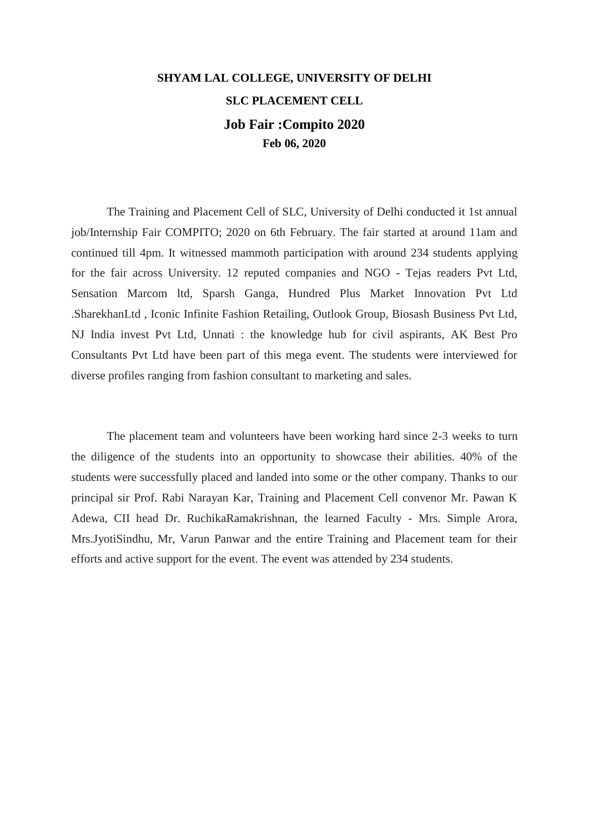## **SHYAM LAL COLLEGE, UNIVERSITY OF DELHI SLC PLACEMENT CELL Job Fair :Compito 2020 Feb 06, 2020**

The Training and Placement Cell of SLC, University of Delhi conducted it 1st annual job/Internship Fair COMPITO; 2020 on 6th February. The fair started at around 11am and continued till 4pm. It witnessed mammoth participation with around 234 students applying for the fair across University. 12 reputed companies and NGO - Tejas readers Pvt Ltd, Sensation Marcom ltd, Sparsh Ganga, Hundred Plus Market Innovation Pvt Ltd .SharekhanLtd , Iconic Infinite Fashion Retailing, Outlook Group, Biosash Business Pvt Ltd, NJ India invest Pvt Ltd, Unnati : the knowledge hub for civil aspirants, AK Best Pro Consultants Pvt Ltd have been part of this mega event. The students were interviewed for diverse profiles ranging from fashion consultant to marketing and sales.

The placement team and volunteers have been working hard since 2-3 weeks to turn the diligence of the students into an opportunity to showcase their abilities. 40% of the students were successfully placed and landed into some or the other company. Thanks to our principal sir Prof. Rabi Narayan Kar, Training and Placement Cell convenor Mr. Pawan K Adewa, CII head Dr. RuchikaRamakrishnan, the learned Faculty - Mrs. Simple Arora, Mrs.JyotiSindhu, Mr, Varun Panwar and the entire Training and Placement team for their efforts and active support for the event. The event was attended by 234 students.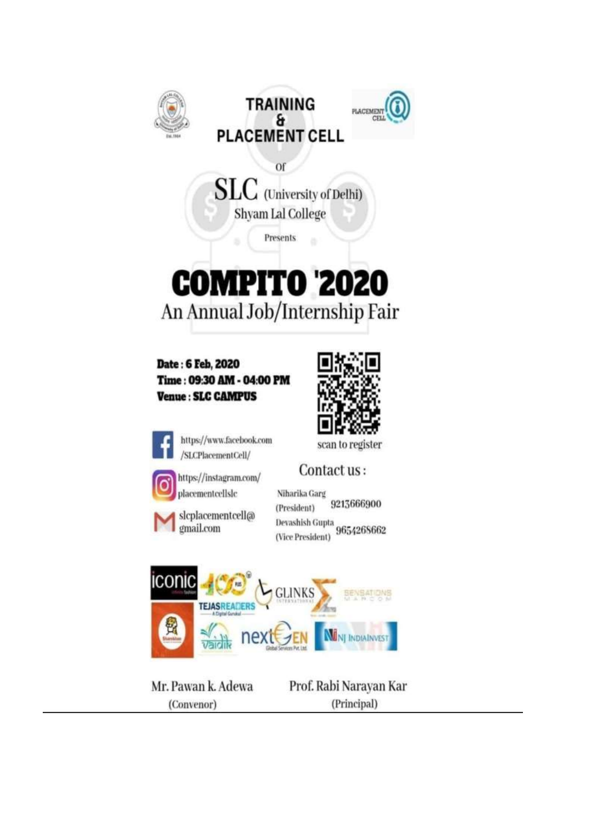





Of **SLC** (University of Delhi) Shyam Lal College

**Presents** 

## **COMPITO 2020** An Annual Job/Internship Fair

Date: 6 Feb, 2020 Time: 09:30 AM - 04:00 PM **Venue: SLC CAMPUS** 







https://instagram.com/ placementcellslc

scan to register

Contact us:



slcplacementcell@ gmail.com

Niharika Garg 9213666900 (President) Devashish Gupta<br>(Vice President) 9654268662



Prof. Rabi Narayan Kar Mr. Pawan k. Adewa (Principal) (Convenor)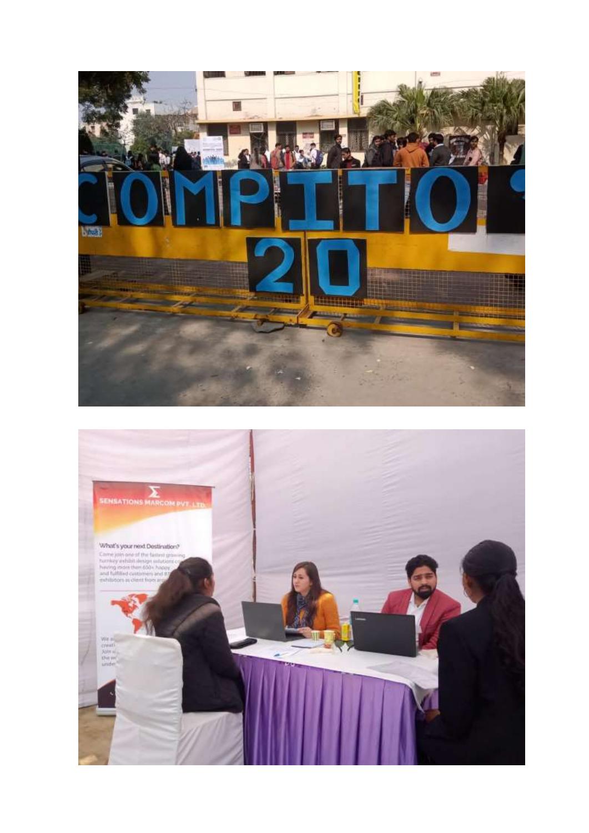